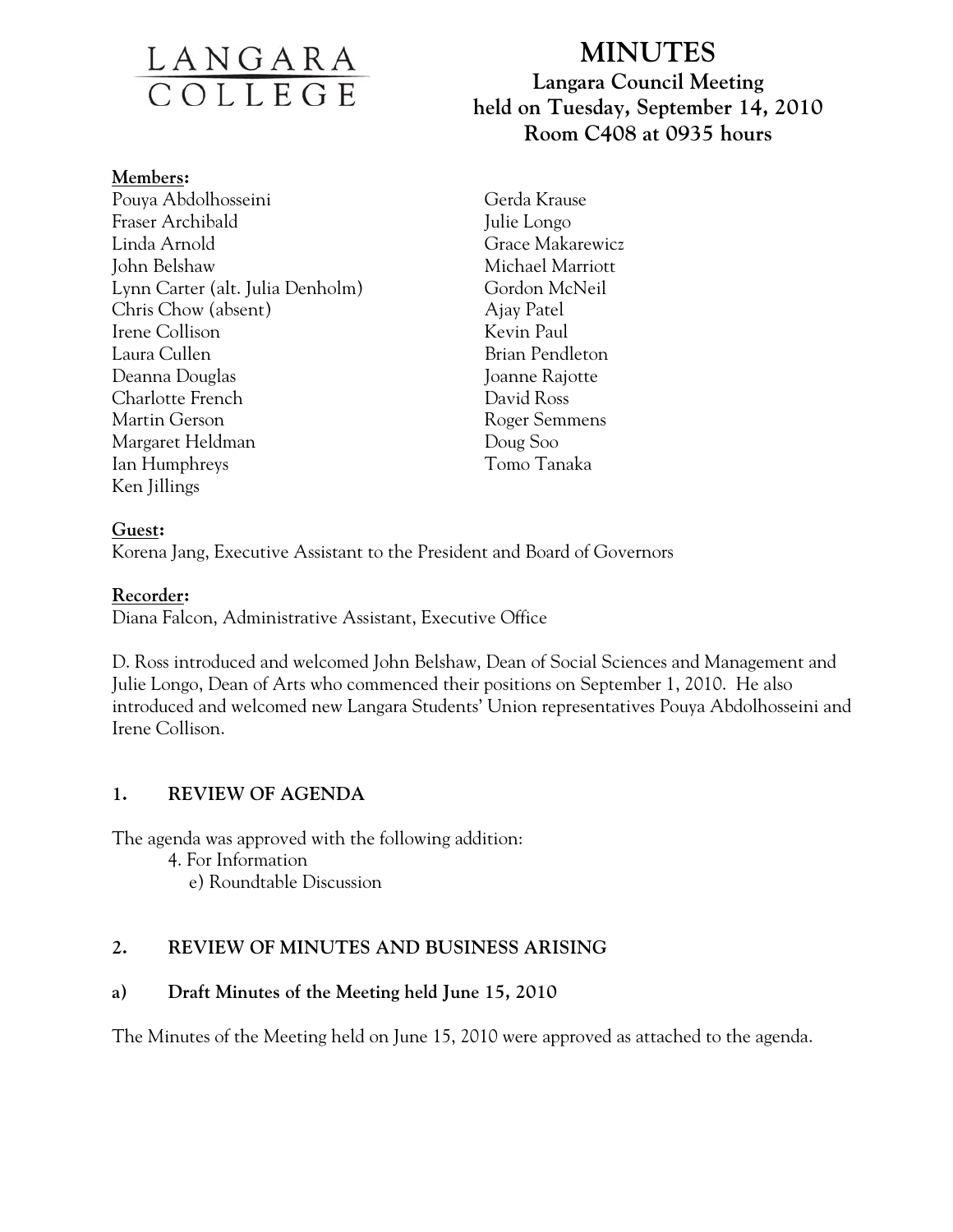# <u>LANGARA</u><br>COLLEGE

#### **Members:**

Pouya Abdolhosseini Fraser Archibald Linda Arnold John Belshaw Lynn Carter (alt. Julia Denholm) Chris Chow (absent) Irene Collison Laura Cullen Deanna Douglas Charlotte French Martin Gerson Margaret Heldman Ian Humphreys Ken Jillings

# **MINUTES Langara Council Meeting held on Tuesday, September 14, 2010 Room C408 at 0935 hours**

Gerda Krause Julie Longo Grace Makarewicz Michael Marriott Gordon McNeil Ajay Patel Kevin Paul Brian Pendleton Joanne Rajotte David Ross Roger Semmens Doug Soo Tomo Tanaka

## **Guest:**

Korena Jang, Executive Assistant to the President and Board of Governors

#### **Recorder:**

Diana Falcon, Administrative Assistant, Executive Office

D. Ross introduced and welcomed John Belshaw, Dean of Social Sciences and Management and Julie Longo, Dean of Arts who commenced their positions on September 1, 2010. He also introduced and welcomed new Langara Students' Union representatives Pouya Abdolhosseini and Irene Collison.

## **1. REVIEW OF AGENDA**

The agenda was approved with the following addition:

- 4. For Information
	- e) Roundtable Discussion

## **2. REVIEW OF MINUTES AND BUSINESS ARISING**

## **a) Draft Minutes of the Meeting held June 15, 2010**

The Minutes of the Meeting held on June 15, 2010 were approved as attached to the agenda.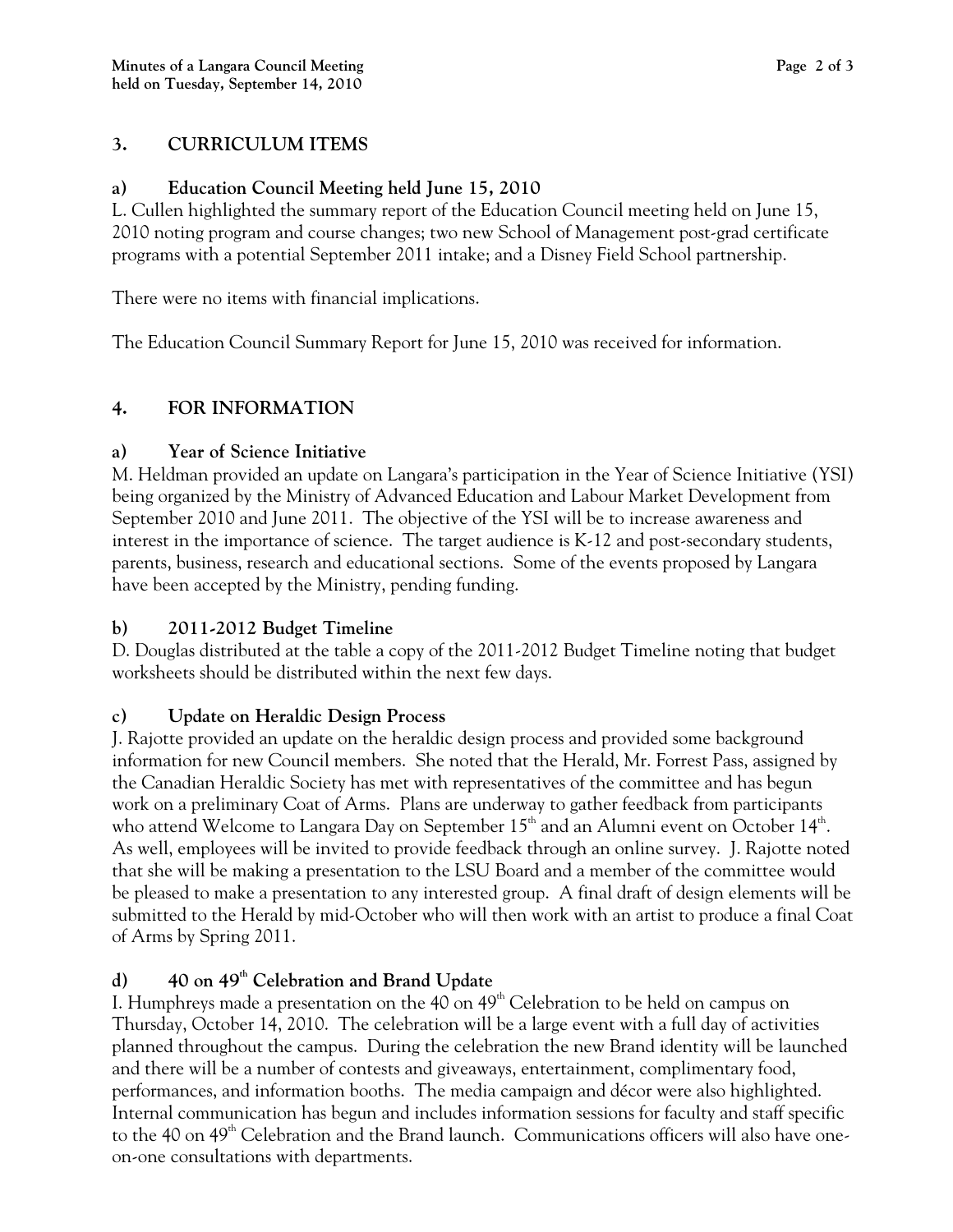## **3. CURRICULUM ITEMS**

## **a) Education Council Meeting held June 15, 2010**

L. Cullen highlighted the summary report of the Education Council meeting held on June 15, 2010 noting program and course changes; two new School of Management post-grad certificate programs with a potential September 2011 intake; and a Disney Field School partnership.

There were no items with financial implications.

The Education Council Summary Report for June 15, 2010 was received for information.

## **4. FOR INFORMATION**

## **a) Year of Science Initiative**

M. Heldman provided an update on Langara's participation in the Year of Science Initiative (YSI) being organized by the Ministry of Advanced Education and Labour Market Development from September 2010 and June 2011. The objective of the YSI will be to increase awareness and interest in the importance of science. The target audience is K-12 and post-secondary students, parents, business, research and educational sections. Some of the events proposed by Langara have been accepted by the Ministry, pending funding.

## **b) 2011-2012 Budget Timeline**

D. Douglas distributed at the table a copy of the 2011-2012 Budget Timeline noting that budget worksheets should be distributed within the next few days.

## **c) Update on Heraldic Design Process**

J. Rajotte provided an update on the heraldic design process and provided some background information for new Council members. She noted that the Herald, Mr. Forrest Pass, assigned by the Canadian Heraldic Society has met with representatives of the committee and has begun work on a preliminary Coat of Arms. Plans are underway to gather feedback from participants who attend Welcome to Langara Day on September  $15<sup>th</sup>$  and an Alumni event on October  $14<sup>th</sup>$ . As well, employees will be invited to provide feedback through an online survey. J. Rajotte noted that she will be making a presentation to the LSU Board and a member of the committee would be pleased to make a presentation to any interested group. A final draft of design elements will be submitted to the Herald by mid-October who will then work with an artist to produce a final Coat of Arms by Spring 2011.

## **d) 40 on 49th Celebration and Brand Update**

I. Humphreys made a presentation on the  $40$  on  $49<sup>th</sup>$  Celebration to be held on campus on Thursday, October 14, 2010. The celebration will be a large event with a full day of activities planned throughout the campus. During the celebration the new Brand identity will be launched and there will be a number of contests and giveaways, entertainment, complimentary food, performances, and information booths. The media campaign and décor were also highlighted. Internal communication has begun and includes information sessions for faculty and staff specific to the 40 on  $49<sup>th</sup>$  Celebration and the Brand launch. Communications officers will also have oneon-one consultations with departments.